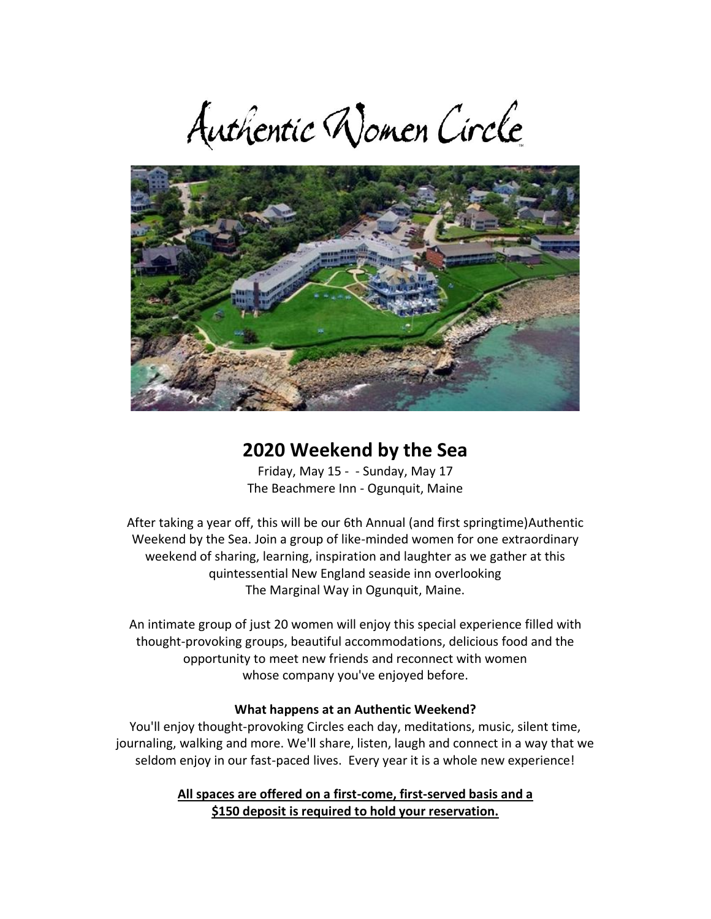Authentic Women Circle



## **2020 Weekend by the Sea**

Friday, May 15 - - Sunday, May 17 The Beachmere Inn - Ogunquit, Maine

After taking a year off, this will be our 6th Annual (and first springtime)Authentic Weekend by the Sea. Join a group of like-minded women for one extraordinary weekend of sharing, learning, inspiration and laughter as we gather at this quintessential New England seaside inn overlooking The Marginal Way in Ogunquit, Maine.

An intimate group of just 20 women will enjoy this special experience filled with thought-provoking groups, beautiful accommodations, delicious food and the opportunity to meet new friends and reconnect with women whose company you've enjoyed before.

#### **What happens at an Authentic Weekend?**

You'll enjoy thought-provoking Circles each day, meditations, music, silent time, journaling, walking and more. We'll share, listen, laugh and connect in a way that we seldom enjoy in our fast-paced lives. Every year it is a whole new experience!

> **All spaces are offered on a first-come, first-served basis and a \$150 deposit is required to hold your reservation.**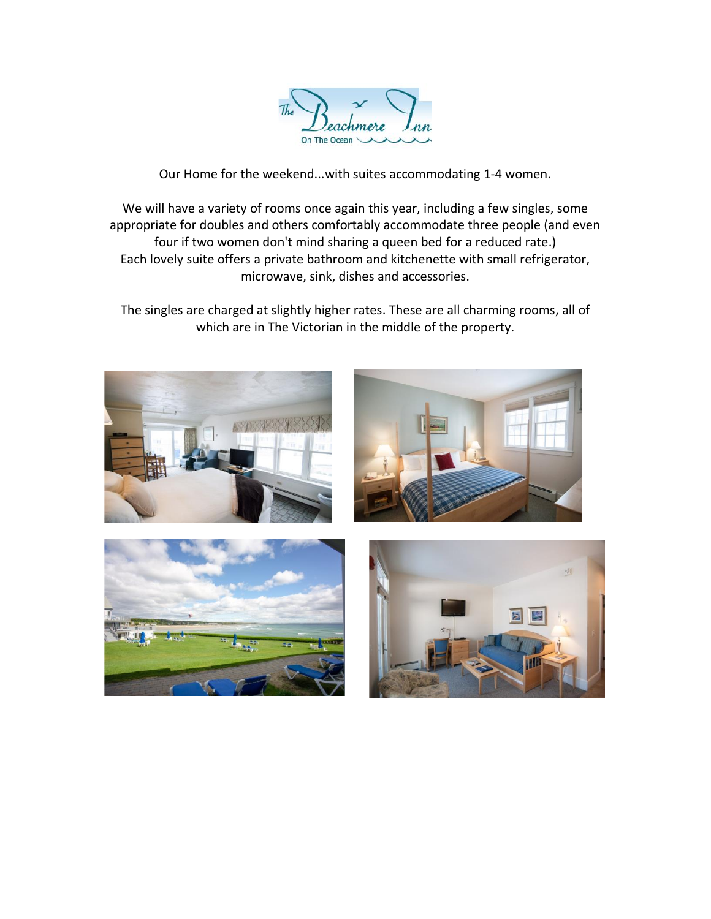

Our Home for the weekend...with suites accommodating 1-4 women.

We will have a variety of rooms once again this year, including a few singles, some appropriate for doubles and others comfortably accommodate three people (and even four if two women don't mind sharing a queen bed for a reduced rate.) Each lovely suite offers a private bathroom and kitchenette with small refrigerator, microwave, sink, dishes and accessories.

The singles are charged at slightly higher rates. These are all charming rooms, all of which are in The Victorian in the middle of the property.

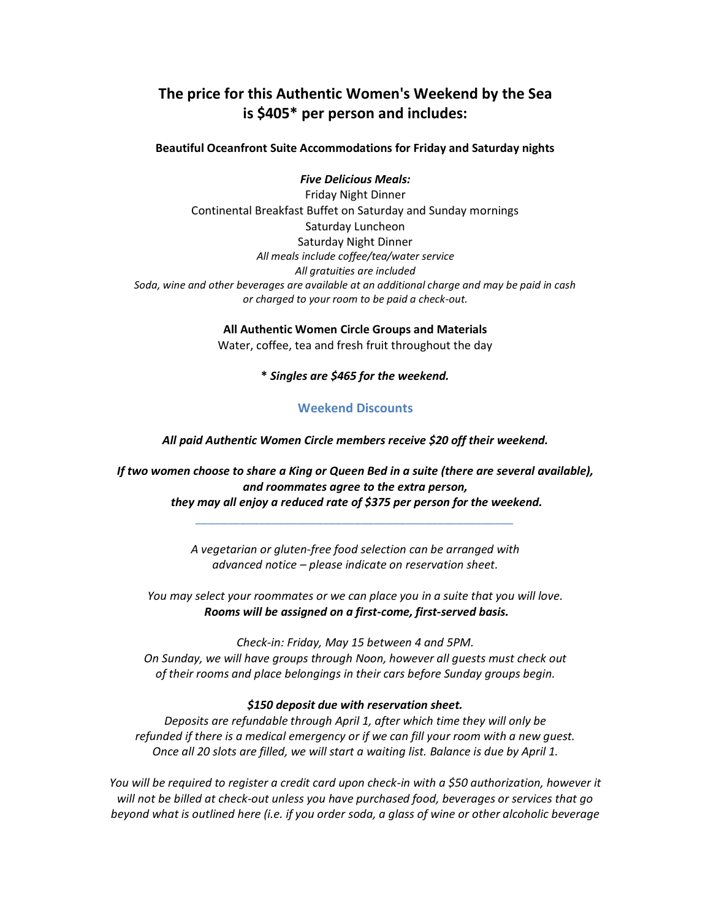### **The price for this Authentic Women's Weekend by the Sea is \$405\* per person and includes:**

**Beautiful Oceanfront Suite Accommodations for Friday and Saturday nights**

*Five Delicious Meals:* Friday Night Dinner Continental Breakfast Buffet on Saturday and Sunday mornings Saturday Luncheon Saturday Night Dinner *All meals include coffee/tea/water service All gratuities are included Soda, wine and other beverages are available at an additional charge and may be paid in cash or charged to your room to be paid a check-out.* 

> **All Authentic Women Circle Groups and Materials** Water, coffee, tea and fresh fruit throughout the day

> > **\*** *Singles are \$465 for the weekend.*

#### **Weekend Discounts**

*All paid Authentic Women Circle members receive \$20 off their weekend.*

*If two women choose to share a King or Queen Bed in a suite (there are several available), and roommates agree to the extra person, they may all enjoy a reduced rate of \$375 per person for the weekend.*

*\_\_\_\_\_\_\_\_\_\_\_\_\_\_\_\_\_\_\_\_\_\_\_\_\_\_\_\_\_\_\_\_\_\_\_\_\_\_\_\_\_\_\_\_\_\_\_\_\_\_*

*A vegetarian or gluten-free food selection can be arranged with advanced notice – please indicate on reservation sheet.* 

*You may select your roommates or we can place you in a suite that you will love. Rooms will be assigned on a first-come, first-served basis.*

*Check-in: Friday, May 15 between 4 and 5PM. On Sunday, we will have groups through Noon, however all guests must check out of their rooms and place belongings in their cars before Sunday groups begin.*

#### *\$150 deposit due with reservation sheet.*

*Deposits are refundable through April 1, after which time they will only be refunded if there is a medical emergency or if we can fill your room with a new guest. Once all 20 slots are filled, we will start a waiting list. Balance is due by April 1.*

*You will be required to register a credit card upon check-in with a \$50 authorization, however it will not be billed at check-out unless you have purchased food, beverages or services that go beyond what is outlined here (i.e. if you order soda, a glass of wine or other alcoholic beverage*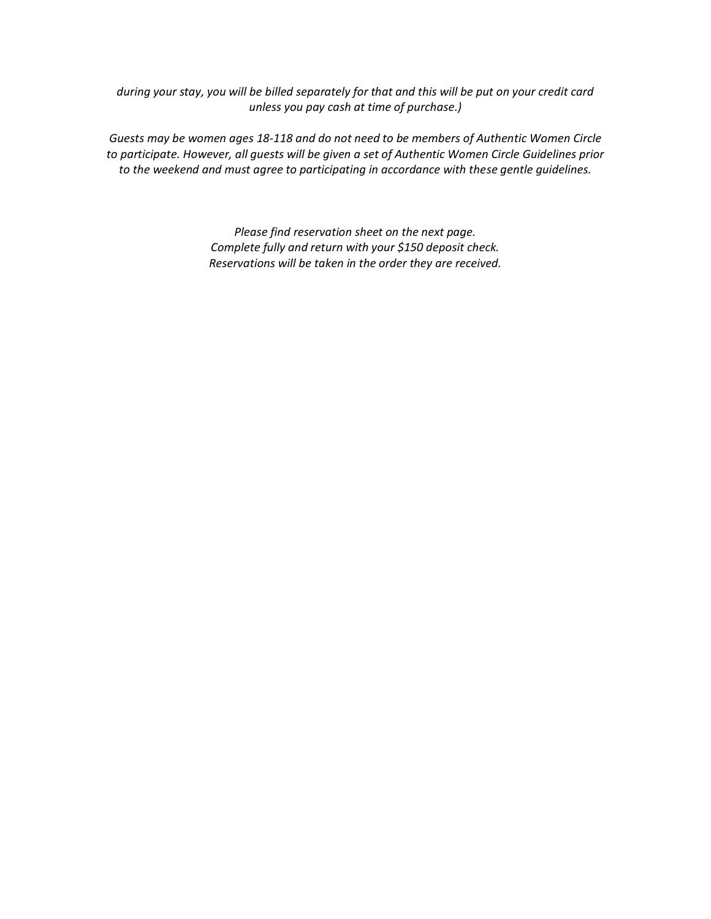*during your stay, you will be billed separately for that and this will be put on your credit card unless you pay cash at time of purchase.)* 

*Guests may be women ages 18-118 and do not need to be members of Authentic Women Circle to participate. However, all guests will be given a set of Authentic Women Circle Guidelines prior to the weekend and must agree to participating in accordance with these gentle guidelines.* 

> *Please find reservation sheet on the next page. Complete fully and return with your \$150 deposit check. Reservations will be taken in the order they are received.*